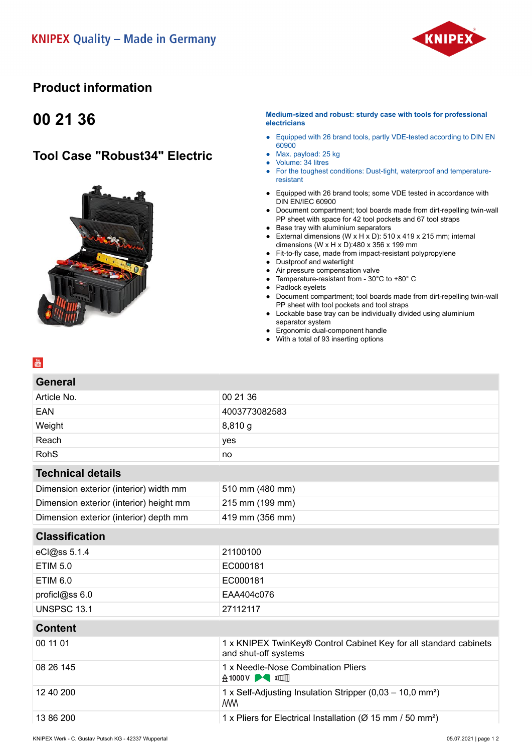

### **Product information**

# **00 21 36**

## **Tool Case "Robust34" Electric**



### **Medium-sized and robust: sturdy case with tools for professional electricians**

- Equipped with 26 brand tools, partly VDE-tested according to DIN EN 60900
- Max. payload: 25 kg
- Volume: 34 litres
- For the toughest conditions: Dust-tight, waterproof and temperatureresistant
- Equipped with 26 brand tools; some VDE tested in accordance with DIN EN/IEC 60900
- Document compartment; tool boards made from dirt-repelling twin-wall PP sheet with space for 42 tool pockets and 67 tool straps
- Base tray with aluminium separators
- External dimensions (W x H x D): 510 x 419 x 215 mm; internal dimensions (W x H x D):480 x 356 x 199 mm
- Fit-to-fly case, made from impact-resistant polypropylene
- Dustproof and watertight
- Air pressure compensation valve
- Temperature-resistant from 30°C to +80° C
- Padlock eyelets
- Document compartment; tool boards made from dirt-repelling twin-wall PP sheet with tool pockets and tool straps
- Lockable base tray can be individually divided using aluminium separator system
- Ergonomic dual-component handle
- With a total of 93 inserting options

| General                                 |                 |  |
|-----------------------------------------|-----------------|--|
| Article No.                             | 00 21 36        |  |
| <b>EAN</b>                              | 4003773082583   |  |
| Weight                                  | 8,810 g         |  |
| Reach                                   | yes             |  |
| <b>RohS</b>                             | no              |  |
| <b>Technical details</b>                |                 |  |
| Dimension exterior (interior) width mm  | 510 mm (480 mm) |  |
| Dimension exterior (interior) height mm | 215 mm (199 mm) |  |
| Dimension exterior (interior) depth mm  | 419 mm (356 mm) |  |
| <b>Classification</b>                   |                 |  |
| eCl@ss 5.1.4                            | 21100100        |  |
| <b>ETIM 5.0</b>                         | EC000181        |  |
| <b>ETIM 6.0</b>                         | EC000181        |  |
| proficl@ss 6.0                          | EAA404c076      |  |
| <b>UNSPSC 13.1</b>                      | 27112117        |  |
|                                         |                 |  |

### **Content**

| 00 11 01  | 1 x KNIPEX TwinKey® Control Cabinet Key for all standard cabinets<br>and shut-off systems |
|-----------|-------------------------------------------------------------------------------------------|
| 08 26 145 | 1 x Needle-Nose Combination Pliers                                                        |
| 12 40 200 | 1 x Self-Adjusting Insulation Stripper (0,03 – 10,0 mm <sup>2</sup> )<br>WW               |
| 13 86 200 | 1 x Pliers for Electrical Installation ( $\varnothing$ 15 mm / 50 mm <sup>2</sup> )       |